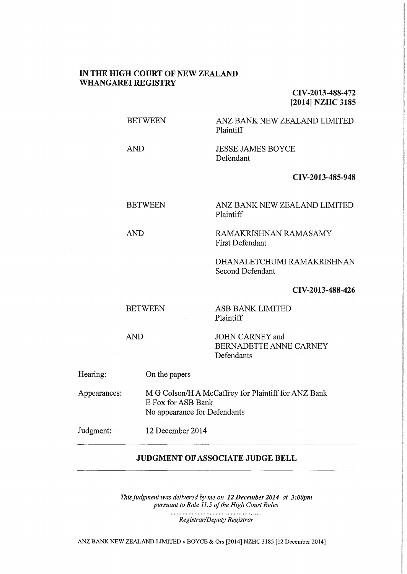# **IN THE HIGH COURT OF NEW ZEALAND WHANGAREI REGISTRY**

**CIV-2013-488-472 [2014] NZHC 3185** 

**BETWEEN** 

ANZ BANK NEW ZEALAND LIMITED Plaintiff

AND

JESSE JAMES BOYCE Defendant

**CIV-2013-485-948** 

**BETWEEN** 

AND

ANZ BANK NEW ZEALAND LIMITED Plaintiff

RAMAKRISHNAN RAMASAMY First Defendant

DHANALETCHUMI RAMAKRISHNAN Second Defendant

**CIV-2013-488-426** 

BETWEEN

ASB BANK LIMITED Plaintiff

AND

JOHN CARNEY and BERNADETTE ANNE CARNEY Defendants

| Hearing:     | On the papers                                                                                             |  |
|--------------|-----------------------------------------------------------------------------------------------------------|--|
| Appearances: | M G Colson/H A McCaffrey for Plaintiff for ANZ Bank<br>E Fox for ASB Bank<br>No appearance for Defendants |  |
| Judgment:    | 12 December 2014                                                                                          |  |

# **JUDGMENT OF ASSOCIATE JUDGE BELL**

*This judgment was delivered by me on 12 December 2014 at 3:00pm pursuant to Rule 11.5 of the High Court Rules* 

> *Registrar/Deputy Registrar*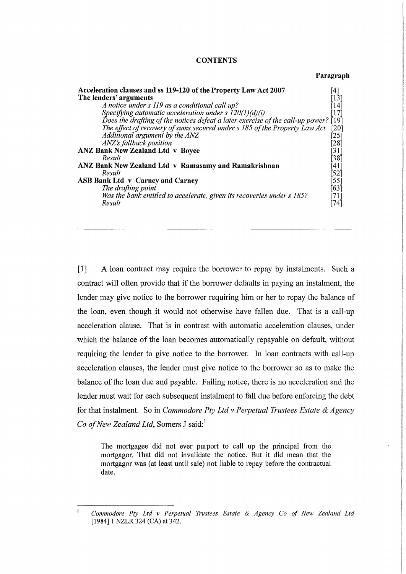#### **CONTENTS**

#### **Paragraph**

| Acceleration clauses and ss 119-120 of the Property Law Act 2007                    | ั4]                |
|-------------------------------------------------------------------------------------|--------------------|
| The lenders' arguments                                                              | [13]               |
| A notice under s 119 as a conditional call up?                                      | 14                 |
| Specifying automatic acceleration under s $120(1)(d)(i)$                            | [17]               |
| Does the drafting of the notices defeat a later exercise of the call-up power? [19] |                    |
| The effect of recovery of sums secured under s 185 of the Property Law Act          | [20]               |
| Additional argument by the ANZ                                                      | $\left[ 25\right]$ |
| ANZ's fallback position                                                             | [28]               |
| <b>ANZ Bank New Zealand Ltd v Boyce</b>                                             | [31]               |
| Result                                                                              | [38]               |
| ANZ Bank New Zealand Ltd v Ramasamy and Ramakrishnan                                | [41]               |
| Result                                                                              | [52]               |
| <b>ASB Bank Ltd v Carney and Carney</b>                                             |                    |
| The drafting point                                                                  | [63]               |
| Was the bank entitled to accelerate, given its recoveries under s 185?              | [71]               |
| Result                                                                              | 74                 |

[1] A loan contract may require the borrower to repay by instalments. Such a contract will often provide that if the borrower defaults in paying an instalment, the lender may give notice to the borrower requiring him or her to repay the balance of the loan, even though it would not otherwise have fallen due. That is a call-up acceleration clause. That is in contrast with automatic acceleration clauses, under which the balance of the loan becomes automatically repayable on default, without requiring the lender to give notice to the borrower. In loan contracts with call-up acceleration clauses, the lender must give notice to the borrower so as to make the balance of the loan due and payable. Failing notice, there is no acceleration and the lender must wait for each subsequent instalment to fall due before enforcing the debt for that instalment. So in *Commodore Pty Ltd v Perpetual Trustees Estate* & *Agency Co of New Zealand Ltd, Somers J said*:<sup>1</sup>

The mortgagee did not ever purport to call up the principal from the mortgagor. That did not invalidate the notice. But it did mean that the mortgagor was (at least until sale) not liable to repay before the contractual date.

 $\mathbf{1}$ *Commodore Pty Ltd v Perpetual Trustees Estate* & *Agency Co of New Zealand Ltd*  [1984] 1 NZLR 324 (CA) at 342.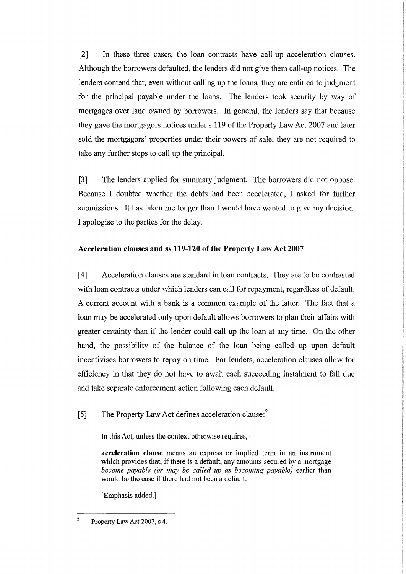[2] In these three cases, the loan contracts have call-up acceleration clauses. Although the borrowers defaulted, the lenders did not give them call-up notices. The lenders contend that, even without calling up the loans, they are entitled to judgment for the principal payable under the loans. The lenders took security by way of mortgages over land owned by borrowers. In general, the lenders say that because they gave the mortgagors notices under s 119 of the Property Law Act 2007 and later sold the mortgagors' properties under their powers of sale, they are not required to take any further steps to call up the principal.

[3] The lenders applied for summary judgment. The borrowers did not oppose. Because I doubted whether the debts had been accelerated, I asked for further submissions. It has taken me longer than I would have wanted to give my decision. I apologise to the parties for the delay.

# **Acceleration clauses and ss 119-120 of the Property Law Act 2007**

[4] Acceleration clauses are standard in loan contracts. They are to be contrasted with loan contracts under which lenders can call for repayment, regardless of default. A current account with a bank is a common example of the latter. The fact that a loan may be accelerated only upon default allows borrowers to plan their affairs with greater certainty than if the lender could call up the loan at any time. On the other hand, the possibility of the balance of the loan being called up upon default incentivises borrowers to repay on time. For lenders, acceleration clauses allow for efficiency in that they do not have to await each succeeding instalment to fall due and take separate enforcement action following each default.

# [5] The Property Law Act defines acceleration clause:<sup>2</sup>

In this Act, unless the context otherwise requires,  $-$ 

**acceleration clause** means an express or implied term in an instrument which provides that, if there is a default, any amounts secured by a mortgage *become payable (or may be called up as becoming payable)* earlier than would be the case if there had not been a default.

[Emphasis added.]

<sup>2</sup>  Property Law Act 2007, s 4.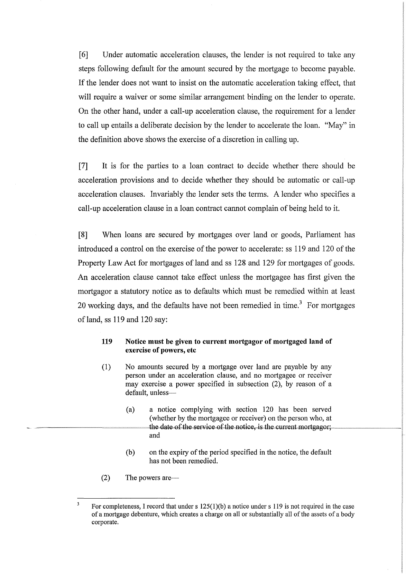[6] Under automatic acceleration clauses, the lender is not required to take any steps following default for the amount secured by the mortgage to become payable. If the lender does not want to insist on the automatic acceleration taking effect, that will require a waiver or some similar arrangement binding on the lender to operate. On the other hand, under a call-up acceleration clause, the requirement for a lender to call up entails a deliberate decision by the lender to accelerate the loan. "May" in the definition above shows the exercise of a discretion in calling up.

[7] It is for the parties to a loan contract to decide whether there should be acceleration provisions and to decide whether they should be automatic or call-up acceleration clauses. Invariably the lender sets the terms. A lender who specifies a call-up acceleration clause in a loan contract cannot complain of being held to it.

[8] When loans are secured by mortgages over land or goods, Parliament has introduced a control on the exercise of the power to accelerate: ss 119 and 120 of the Property Law Act for mortgages of land and ss 128 and 129 for mortgages of goods. An acceleration clause cannot take effect unless the mortgagee has first given the mortgagor a statutory notice as to defaults which must be remedied within at least 20 working days, and the defaults have not been remedied in time.<sup>3</sup> For mortgages of land, ss 119 and 120 say:

#### **119 Notice must be given to current mortgagor of mortgaged land of exercise of powers, etc**

- (1) No amounts secured by a mortgage over land are payable by any person under an acceleration clause, and no mortgagee or receiver may exercise a power specified in subsection (2), by reason of a default, unless-
	- (a) a notice complying with section 120 has been served (whether by the mortgagee or receiver) on the person who, at the date of the service of the notice, is the current mortgagor: and
	- (b) on the expiry of the period specified in the notice, the default has not been remedied.
- (2) The powers are

 $\overline{3}$ For completeness, I record that under s  $125(1)(b)$  a notice under s 119 is not required in the case of a mortgage debenture, which creates a charge on all or substantially all of the assets of a body corporate.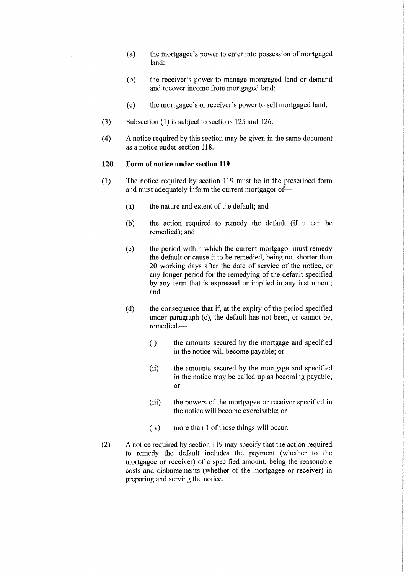- (a) the mortgagee's power to enter into possession of mortgaged land:
- (b) the receiver's power to manage mortgaged land or demand and recover income from mortgaged land:
- (c) the m01tgagee's or receiver's power to sell mortgaged land.
- (3) Subsection (1) is subject to sections 125 and 126.
- ( 4) A notice required by this section may be given in the same document as a notice under section 118.

#### **120 Form of notice under section 119**

- (1) The notice required by section 119 must be in the prescribed form and must adequately inform the current mortgagor of-
	- (a) the nature and extent of the default; and
	- (b) the action required to remedy the default (if it can be remedied); and
	- ( c) the period within which the current mortgagor must remedy the default or cause it to be remedied, being not shorter than 20 working days after the date of service of the notice, or any longer period for the remedying of the default specified by any term that is expressed or implied in any instrument; and
	- (d) the consequence that if, at the expiry of the period specified under paragraph (c), the default has not been, or cannot be, remedied.-
		- (i) the amounts secured by the mortgage and specified in the notice will become payable; or
		- (ii) the amounts secured by the mortgage and specified in the notice may be called up as becoming payable; or
		- (iii) the powers of the mortgagee or receiver specified in the notice will become exercisable; or
		- (iv) more than 1 of those things will occur.
- (2) A notice required by section 119 may specify that the action required to remedy the default includes the payment (whether to the mortgagee or receiver) of a specified amount, being the reasonable costs and disbursements (whether of the mortgagee or receiver) in preparing and serving the notice.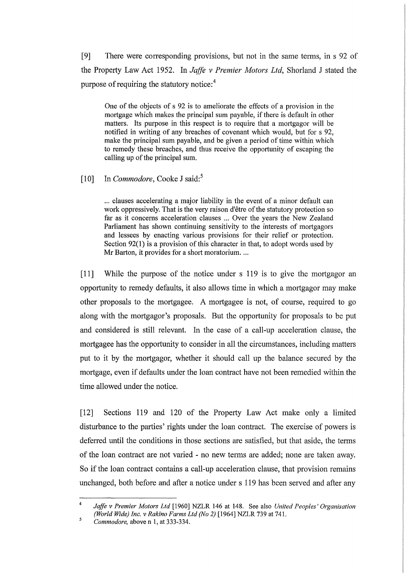[9] There were conesponding provisions, but not in the same terms, in s 92 of the Property Law Act 1952. In *Jaffe v Premier Motors Ltd,* Shorland J stated the purpose of requiring the statutory notice: $<sup>4</sup>$ </sup>

One of the objects of s 92 is to ameliorate the effects of a provision in the mortgage which makes the principal sum payable, if there is default in other matters. Its purpose in this respect is to require that a mortgagor will be notified in writing of any breaches of covenant which would, but for s 92, make the principal sum payable, and be given a period of time within which to remedy these breaches, and thus receive the opportunity of escaping the calling up of the principal sum.

# [10] In *Commodore*, Cooke J said:<sup>5</sup>

... clauses accelerating a major liability in the event of a minor default can work oppressively. That is the very raison d'etre of the statutory protection so far as it concems acceleration clauses ... Over the years the New Zealand Parliament has shown continuing sensitivity to the interests of mortgagors and lessees by enacting various provisions for their relief or protection. Section 92(1) is a provision of this character in that, to adopt words used by Mr Barton, it provides for a short moratorium. ...

[11] While the purpose of the notice under s 119 is to give the mortgagor an opportunity to remedy defaults, it also allows time in which a mortgagor may make other proposals to the mortgagee. A mortgagee is not, of course, required to go along with the mortgagor's proposals. But the opportunity for proposals to be put and considered is still relevant. In the case of a call-up acceleration clause, the mortgagee has the opportunity to consider in all the circumstances, including matters put to it by the mortgagor, whether it should call up the balance secured by the mortgage, even if defaults under the loan contract have not been remedied within the time allowed under the notice.

[12] Sections 119 and 120 of the Property Law Act make only a limited disturbance to the parties' rights under the loan contract. The exercise of powers is defened until the conditions in those sections are satisfied, but that aside, the terms of the loan contract are not varied - no new terms are added; none are taken away. So if the loan contract contains a call-up acceleration clause, that provision remains unchanged, both before and after a notice under s 119 has been served and after any

<sup>4</sup>*Jaffe v Premier Motors Ltd* [1960] NZLR 146 at 148. See also *United Peoples' Organisation (World Wide) Inc. v Rakino Farms Ltd (No 2)* [1964] NZLR 739 at 741.

 $\sqrt{5}$ *Commodore,* above n 1, at 333-334.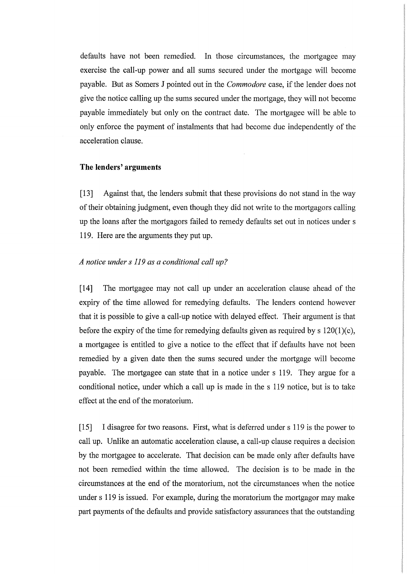defaults have not been remedied. In those circumstances, the mortgagee may exercise the call-up power and all sums secured under the mortgage will become payable. But as Somers J pointed out in the *Commodore* case, if the lender does not give the notice calling up the sums secured under the mortgage, they will not become payable immediately but only on the contract date. The mortgagee will be able to only enforce the payment of instalments that had become due independently of the acceleration clause.

### **The lenders' arguments**

[13] Against that, the lenders submit that these provisions do not stand in the way of their obtaining judgment, even though they did not write to the mortgagors calling up the loans after the mortgagors failed to remedy defaults set out in notices under s 119. Here are the arguments they put up.

## *A notice under s 119 as a conditional call up?*

[14] The mortgagee may not call up under an acceleration clause ahead of the expiry of the time allowed for remedying defaults. The lenders contend however that it is possible to give a call-up notice with delayed effect. Their argument is that before the expiry of the time for remedying defaults given as required by  $s 120(1)(c)$ , a mortgagee is entitled to give a notice to the effect that if defaults have not been remedied by a given date then the sums secured under the mortgage will become payable. The mortgagee can state that in a notice under s 119. They argue for a conditional notice, under which a call up is made in the s 119 notice, but is to take effect at the end of the moratorium.

[15] I disagree for two reasons. First, what is deferred under s 119 is the power to call up. Unlike an automatic acceleration clause, a call-up clause requires a decision by the mortgagee to accelerate. That decision can be made only after defaults have not been remedied within the time allowed. The decision is to be made in the circumstances at the end of the moratorium, not the circumstances when the notice under s 119 is issued. For example, during the moratorium the mortgagor may make part payments of the defaults and provide satisfactory assurances that the outstanding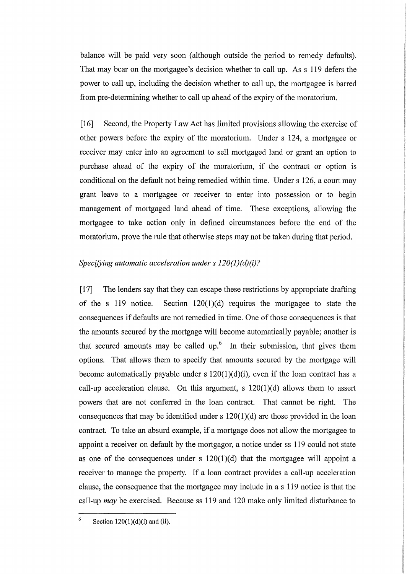balance will be paid very soon (although outside the period to remedy defaults). That may bear on the mortgagee's decision whether to call up. As s 119 defers the power to call up, including the decision whether to call up, the mortgagee is barred :from pre-determining whether to call up ahead of the expiry of the moratorium.

[16] Second, the Property Law Act has limited provisions allowing the exercise of other powers before the expiry of the moratorium. Under s 124, a mortgagee or receiver may enter into an agreement to sell mortgaged land or grant an option to purchase ahead of the expiry of the moratorium, if the contract or option is conditional on the default not being remedied within time. Under s 126, a court may grant leave to a mortgagee or receiver to enter into possession or to begin management of mortgaged land ahead of time. These exceptions, allowing the mortgagee to take action only in defined circumstances before the end of the moratorium, prove the rule that otherwise steps may not be taken during that period.

## *Specifying automatic acceleration under s 120(1 )( d)(i)?*

[17] The lenders say that they can escape these restrictions by appropriate drafting of the s 119 notice. Section 120(1)(d) requires the mortgagee to state the consequences if defaults are not remedied in time. One of those consequences is that the amounts secured by the mortgage will become automatically payable; another is that secured amounts may be called up.<sup>6</sup> In their submission, that gives them options. That allows them to specify that amounts secured by the mortgage will become automatically payable under s  $120(1)(d)(i)$ , even if the loan contract has a call-up acceleration clause. On this argument, s  $120(1)(d)$  allows them to assert powers that are not conferred in the loan contract. That cannot be right. The consequences that may be identified under s 120(1)(d) are those provided in the loan contract. To take an absurd example, if a mortgage does not allow the mortgagee to appoint a receiver on default by the mortgagor, a notice under ss 119 could not state as one of the consequences under s  $120(1)(d)$  that the mortgagee will appoint a receiver to manage the property. If a loan contract provides a call-up acceleration clause, the consequence that the mortgagee may include in a s 119 notice is that the call-up *may* be exercised. Because ss 119 and 120 make only limited disturbance to

<sup>&</sup>lt;sup>6</sup> Section  $120(1)(d)(i)$  and (ii).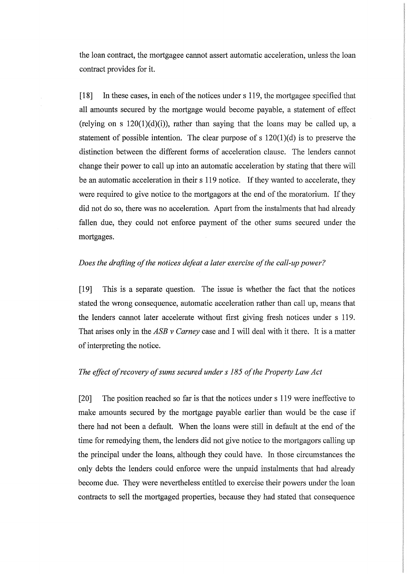the loan contract, the mortgagee cannot assert automatic acceleration, unless the loan contract provides for it.

[18] In these cases, in each of the notices under s 119, the mortgagee specified that all amounts secured by the mortgage would become payable, a statement of effect (relying on s  $120(1)(d)(i)$ ), rather than saying that the loans may be called up, a statement of possible intention. The clear purpose of s  $120(1)(d)$  is to preserve the distinction between the different forms of acceleration clause. The lenders cannot change their power to call up into an automatic acceleration by stating that there will be an automatic acceleration in their s 119 notice. If they wanted to accelerate, they were required to give notice to the mortgagors at the end of the moratorium. If they did not do so, there was no acceleration. Apart from the instalments that had already fallen due, they could not enforce payment of the other sums secured under the mortgages.

### *Does the drafting of the notices defeat a later exercise of the call-up power?*

[19] This is a separate question. The issue is whether the fact that the notices stated the wrong consequence, automatic acceleration rather than call up, means that the lenders cannot later accelerate without first giving fresh notices under s 119. That arises only in the *ASB v Carney* case and I will deal with it there. It is a matter of interpreting the notice.

# *The effect of recovery of sums secured under s 185 of the Property Law Act*

[20] The position reached so far is that the notices under s 119 were ineffective to make amounts secured by the mortgage payable earlier than would be the case if there had not been a default. When the loans were still in default at the end of the time for remedying them, the lenders did not give notice to the mortgagors calling up the principal under the loans, although they could have. In those circumstances the only debts the lenders could enforce were the unpaid instalments that had already become due. They were nevertheless entitled to exercise their powers under the loan contracts to sell the mortgaged properties, because they had stated that consequence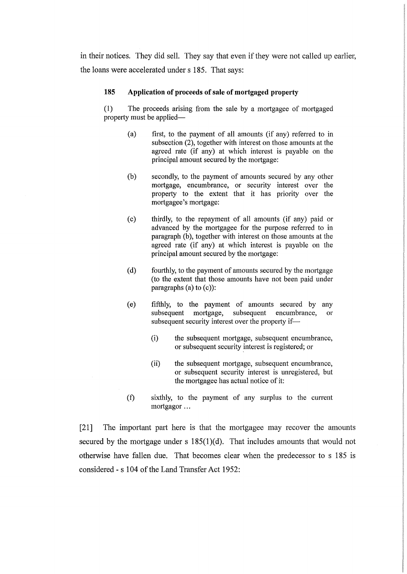in their notices. They did sell. They say that even if they were not called up earlier, the loans were accelerated under s 185. That says:

#### **185 Application of proceeds of sale of mortgaged property**

 $(1)$  The proceeds arising from the sale by a mortgagee of mortgaged property must be applied-

- (a) first, to the payment of all amounts (if any) referred to in subsection (2), together with interest on those amounts at the agreed rate (if any) at which interest is payable on the principal amount secured by the mortgage:
- (b) secondly, to the payment of amounts secured by any other mortgage, encumbrance, or security interest over the property to the extent that it has priority over the m01tgagee's m01tgage:
- (c) thirdly, to the repayment of all amounts (if any) paid or advanced by the mortgagee for the purpose referred to in paragraph (b), together with interest on those amounts at the agreed rate (if any) at which interest is payable on the principal amount secured by the mortgage:
- (d) fourthly, to the payment of amounts secured by the mortgage (to the extent that those amounts have not been paid under paragraphs (a) to (c)):
- (e) fifthly, to the payment of amounts secured by any subsequent mortgage, subsequent encumbrance, or subsequent mortgage, subsequent encumbrance, or subsequent security interest over the property if-
	- (i) the subsequent mortgage, subsequent encumbrance, or subsequent security interest is registered; or
	- (ii) the subsequent mortgage, subsequent encumbrance, or subsequent security interest is unregistered, but the mortgagee has actual notice of it:
- (f) sixthly, to the payment of any surplus to the current mortgagor ...

[21] The important part here is that the mortgagee may recover the amounts secured by the mortgage under s 185(1)(d). That includes amounts that would not otherwise have fallen due. That becomes clear when the predecessor to s 185 is considered - s 104 of the Land Transfer Act 1952: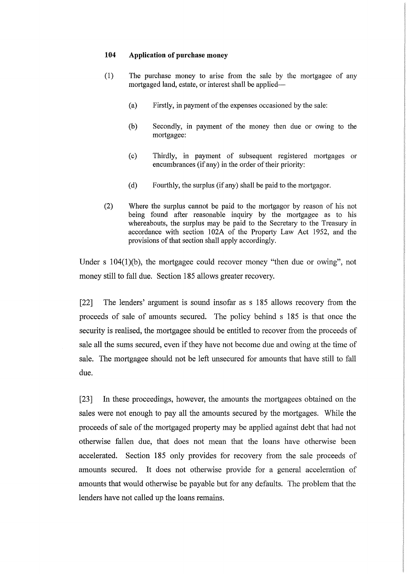#### **104 Application of purchase money**

- $(1)$  The purchase money to arise from the sale by the mortgagee of any mortgaged land, estate, or interest shall be applied-
	- (a) Firstly, in payment of the expenses occasioned by the sale:
	- (b) Secondly, in payment of the money then due or owing to the mortgagee:
	- ( c) Thirdly, in payment of subsequent registered mortgages or encumbrances (if any) in the order of their priority:
	- (d) Fourthly, the surplus (if any) shall be paid to the mortgagor.
- (2) Where the surplus cannot be paid to the mortgagor by reason of his not being found after reasonable inquiry by the mortgagee as to his whereabouts, the surplus may be paid to the Secretary to the Treasury in accordance with section 102A of the Propetiy Law Act 1952, and the provisions of that section shall apply accordingly.

Under s 104(1)(b), the mortgagee could recover money "then due or owing", not money still to fall due. Section 185 allows greater recovery.

[22] The lenders' argument is sound insofar as s 185 allows recovery from the proceeds of sale of amounts secured. The policy behind s 185 is that once the security is realised, the mortgagee should be entitled to recover from the proceeds of sale all the sums secured, even if they have not become due and owing at the time of sale. The mortgagee should not be left unsecured for amounts that have still to fall due.

[23] In these proceedings, however, the amounts the mortgagees obtained on the sales were not enough to pay all the amounts secured by the mortgages. While the proceeds of sale of the mortgaged property may be applied against debt that had not otherwise fallen due, that does not mean that the loans have otherwise been accelerated. Section 185 only provides for recovery from the sale proceeds of amounts secured. It does not otherwise provide for a general acceleration of amounts that would otherwise be payable but for any defaults. The problem that the lenders have not called up the loans remains.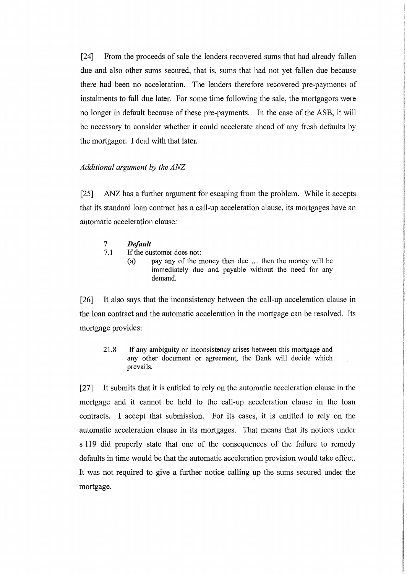[24] From the proceeds of sale the lenders recovered sums that had already fallen due and also other sums secured, that is, sums that had not yet fallen due because there had been no acceleration. The lenders therefore recovered pre-payments of instalments to fall due later. For some time following the sale, the mortgagors were no longer in default because of these pre-payments. In the case of the ASB, it will be necessary to consider whether it could accelerate ahead of any fresh defaults by the mortgagor. I deal with that later.

## *Additional argument by the ANZ*

[25] ANZ has a further argument for escaping from the problem. While it accepts that its standard loan contract has a call-up acceleration clause, its mortgages have an automatic acceleration clause:

| <b>Default</b> |
|----------------|
|                |

7.1 If the customer does not:

(a) pay any of the money then due ... then the money will be immediately due and payable without the need for any demand.

[26] It also says that the inconsistency between the call-up acceleration clause in the loan contract and the automatic acceleration in the mortgage can be resolved. Its mortgage provides:

21.8 If any ambiguity or inconsistency arises between this mortgage and any other document or agreement, the Bank will decide which prevails.

[27] It submits that it is entitled to rely on the automatic acceleration clause in the mortgage and it cannot be held to the call-up acceleration clause in the loan contracts. I accept that submission. For its cases, it is entitled to rely on the automatic acceleration clause in its mortgages. That means that its notices under s 119 did properly state that one of the consequences of the failure to remedy defaults in time would be that the automatic acceleration provision would take effect. It was not required to give a further notice calling up the sums secured under the mortgage.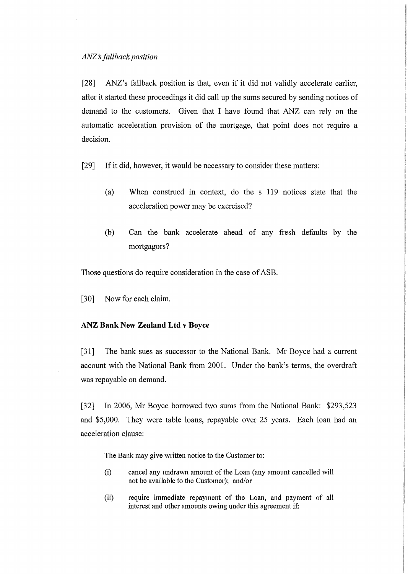*ANZ s fall back position* 

[28] ANZ's fallback position is that, even if it did not validly accelerate earlier, after it started these proceedings it did call up the sums secured by sending notices of demand to the customers. Given that I have found that ANZ can rely on the automatic acceleration provision of the mortgage, that point does not require a decision.

[29] If it did, however, it would be necessary to consider these matters:

- (a) When construed in context, do the s 119 notices state that the acceleration power may be exercised?
- (b) Can the bank accelerate ahead of any fresh defaults by the mortgagors?

Those questions do require consideration in the case of ASB.

[30] Now for each claim.

# **ANZ Bank New Zealand Ltd v Boyce**

[31] The bank sues as successor to the National Bank. Mr Boyce had a current account with the National Bank from 2001. Under the bank's terms, the overdraft was repayable on demand.

[32] In 2006, Mr Boyce borrowed two sums from the National Bank: \$293,523 and \$5,000. They were table loans, repayable over 25 years. Each loan had an acceleration clause:

The Bank may give written notice to the Customer to:

- (i) cancel any undrawn amount of the Loan (any amount cancelled will not be available to the Customer); and/or
- (ii) require immediate repayment of the Loan, and payment of all interest and other amounts owing under this agreement if: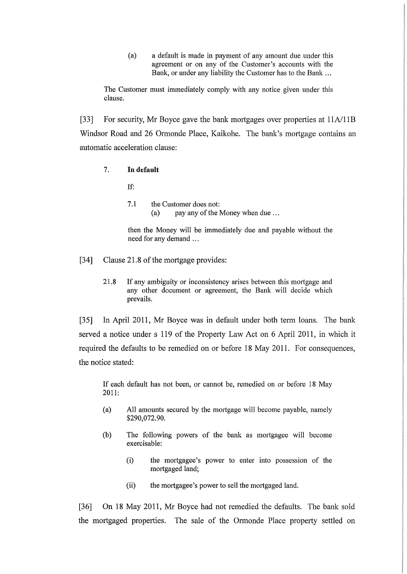(a) a default is made in payment of any amount due under this agreement or on any of the Customer's accounts with the Bank, or under any liability the Customer has to the Bank ...

The Customer must immediately comply with any notice given under this clause.

[33] For security, Mr Boyce gave the bank mortgages over properties at  $11A/11B$ Windsor Road and 26 Ormonde Place, Kaikohe. The bank's mortgage contains an automatic acceleration clause:

7. In **default** 

If:

7.1 the Customer does not: (a) pay any of the Money when due ...

then the Money will be immediately due and payable without the need for any demand ...

- [34] Clause 21.8 of the mortgage provides:
	- 21.8 If any ambiguity or inconsistency arises between this mortgage and any other document or agreement, the Bank will decide which prevails.

[35] In April 2011, Mr Boyce was in default under both term loans. The bank served a notice under s 119 of the Property Law Act on 6 April 2011, in which it required the defaults to be remedied on or before 18 May 2011. For consequences, the notice stated:

If each default has not been, or cannot be, remedied on or before 18 May 2011:

- (a) All amounts secured by the mortgage will become payable, namely \$290,072.90.
- (b) The following powers of the bank as mortgagee will become exercisable:
	- (i) the mortgagee's power to enter into possession of the mortgaged land;
	- (ii) the mortgagee's power to sell the mortgaged land.

[36] On 18 May 2011, Mr Boyce had not remedied the defaults. The bank sold the mortgaged properties. The sale of the Ormonde Place property settled on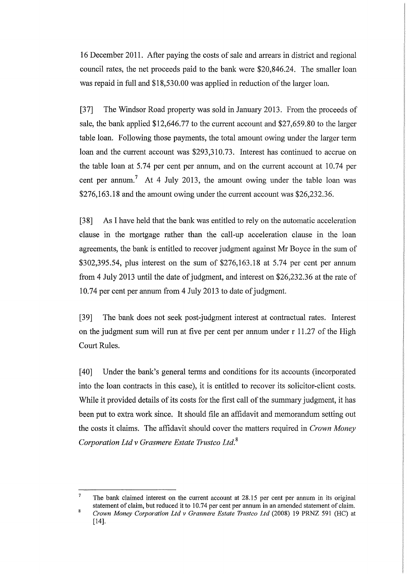16 December 2011. After paying the costs of sale and anears in district and regional council rates, the net proceeds paid to the bank were \$20,846.24. The smaller loan was repaid in full and \$18,530.00 was applied in reduction of the larger loan.

[37] The Windsor Road property was sold in January 2013. From the proceeds of sale, the bank applied \$12,646.77 to the current account and \$27,659.80 to the larger table loan. Following those payments, the total amount owing under the larger term loan and the current account was \$293,310.73. Interest has continued to accrue on the table loan at  $5.74$  per cent per annum, and on the current account at  $10.74$  per cent per annum.<sup>7</sup> At 4 July 2013, the amount owing under the table loan was \$276,163.18 and the amount owing under the current account was \$26,232.36.

[38] As I have held that the bank was entitled to rely on the automatic acceleration clause in the mortgage rather than the call-up acceleration clause in the loan agreements, the bank is entitled to recover judgment against Mr Boyce in the sum of \$302,395.54, plus interest on the sum of \$276,163.18 at 5.74 per cent per annum from 4 July 2013 until the date of judgment, and interest on \$26,232.36 at the rate of 10.74 per cent per annum from 4 July 2013 to date of judgment.

[39] The bank does not seek post-judgment interest at contractual rates. Interest on the judgment sum will run at five per cent per annum under r 11.27 of the High Court Rules.

[40] Under the bank's general terms and conditions for its accounts (incorporated into the loan contracts in this case), it is entitled to recover its solicitor-client costs. While it provided details of its costs for the first call of the summary judgment, it has been put to extra work since. It should file an affidavit and memorandum setting out the costs it claims. The affidavit should cover the matters required in *Crown Money Corporation Ltd v Grasmere Estate Trustco Ltd.* <sup>8</sup>

<sup>7</sup>  8 The bank claimed interest on the current account at 28.15 per cent per annum in its original statement of claim, but reduced it to 10.74 per cent per annum in an amended statement of claim.

*Crown Money C01poration Ltd v Grasmere Estate Trustco Ltd* (2008) 19 PRNZ 591 (HC) at [14].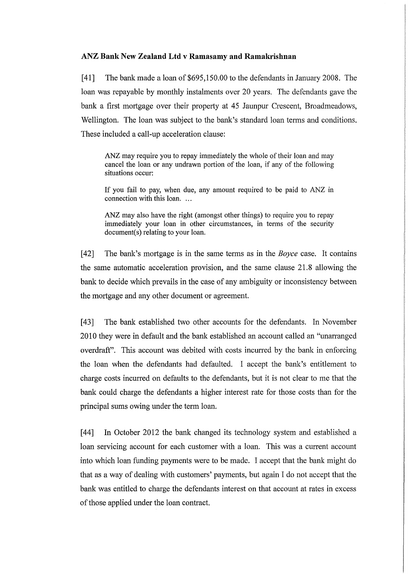## **ANZ Bank New Zealand Ltd v Ramasamy and Ramakrishnan**

[41] The bank made a loan of \$695,150.00 to the defendants in January 2008. The loan was repayable by monthly instalments over 20 years. The defendants gave the bank a first mortgage over their property at 45 Jaunpur Crescent, Broadmeadows, Wellington. The loan was subject to the bank's standard loan terms and conditions. These included a call-up acceleration clause:

ANZ may require you to repay immediately the whole of their loan and may cancel the loan or any undrawn portion of the loan, if any of the following situations occur:

If you fail to pay, when due, any amount required to be paid to ANZ in connection with this loan. ...

ANZ may also have the right (amongst other things) to require you to repay immediately your loan in other circumstances, in terms of the security document(s) relating to your loan.

[ 42] The bank's mortgage is in the same terms as in the *Boyce* case. It contains the same automatic acceleration provision, and the same clause 21.8 allowing the bank to decide which prevails in the case of any ambiguity or inconsistency between the mortgage and any other document or agreement.

[43] The bank established two other accounts for the defendants. In November 2010 they were in default and the bank established an account called an "unarranged overdraft". This account was debited with costs incurred by the bank in enforcing the loan when the defendants had defaulted. I accept the bank's entitlement to charge costs incurred on defaults to the defendants, but it is not clear to me that the bank could charge the defendants a higher interest rate for those costs than for the principal sums owing under the term loan.

[44] In October 2012 the bank changed its technology system and established a loan servicing account for each customer with a loan. This was a current account into which loan funding payments were to be made. I accept that the bank might do that as a way of dealing with customers' payments, but again I do not accept that the bank was entitled to charge the defendants interest on that account at rates in excess of those applied under the loan contract.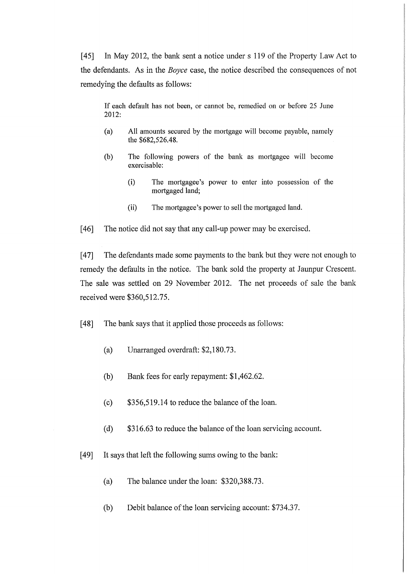[45] In May 2012, the bank sent a notice under s 119 of the Property Law Act to the defendants. As in the *Boyce* case, the notice described the consequences of not remedying the defaults as follows:

If each default has not been, or cannot be, remedied on or before 25 June 2012:

- (a) All amounts secured by the mortgage will become payable, namely the \$682,526.48.
- (b) The following powers of the bank as mortgagee will become exercisable:
	- (i) The mortgagee's power to enter into possession of the mortgaged land;
	- (ii) The mortgagee's power to sell the mortgaged land.

[46] The notice did not say that any call-up power may be exercised.

[47] The defendants made some payments to the bank but they were not enough to remedy the defaults in the notice. The bank sold the property at Jaunpur Crescent. The sale was settled on 29 November 2012. The net proceeds of sale the bank received were \$360,512.75.

- [48] The bank says that it applied those proceeds as follows:
	- (a) Unarranged overdraft: \$2,180.73.
	- (b) Bank fees for early repayment: \$1,462.62.
	- (c) \$356,519.14 to reduce the balance of the loan.
	- (d) \$316.63 to reduce the balance of the loan servicing account.
- [ 49] It says that left the following sums owing to the bank:
	- (a) The balance under the loan: \$320,388.73.
	- (b) Debit balance of the loan servicing account: \$734.37.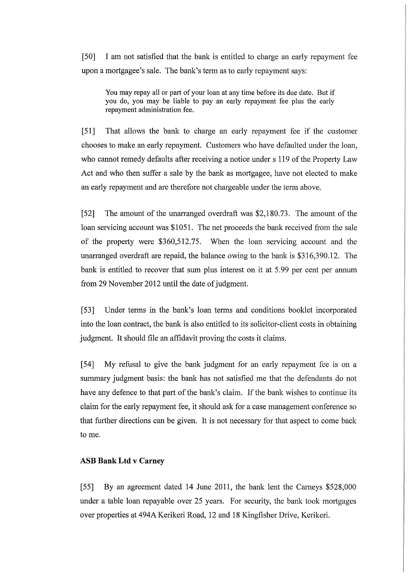[50] I am not satisfied that the bank is entitled to charge an early repayment fee upon a mortgagee's sale. The bank's term as to early repayment says:

You may repay all or part of your loan at any time before its due date. But if you do, you may be liable to pay an early repayment fee plus the early repayment administration fee.

[51] That allows the bank to charge an early repayment fee if the customer chooses to make an early repayment. Customers who have defaulted under the loan, who cannot remedy defaults after receiving a notice under s 119 of the Property Law Act and who then suffer a sale by the bank as mortgagee, have not elected to make an early repayment and are therefore not chargeable under the term above.

[52] The amount of the unarranged overdraft was \$2,180.73. The amount of the loan servicing account was \$1051. The net proceeds the bank received from the sale of the property were \$360,512.75. When the loan servicing account and the unarranged overdraft are repaid, the balance owing to the bank is \$316,390.12. The bank is entitled to recover that sum plus interest on it at 5.99 per cent per annum from 29 November 2012 until the date of judgment.

[53] Under terms in the bank's loan terms and conditions booklet incorporated into the loan contract, the bank is also entitled to its solicitor-client costs in obtaining judgment. It should file an affidavit proving the costs it claims.

[54] My refusal to give the bank judgment for an early repayment fee is on a summary judgment basis: the bank has not satisfied me that the defendants do not have any defence to that part of the bank's claim. If the bank wishes to continue its claim for the early repayment fee, it should ask for a case management conference so that further directions can be given. It is not necessary for that aspect to come back to me.

### **ASB Bank Ltd v Carney**

[55] By an agreement dated 14 June 2011, the bank lent the Cameys \$528,000 under a table loan repayable over 25 years. For security, the bank took mortgages over properties at 494A Kerikeri Road, 12 and 18 Kingfisher Drive, Kerikeri.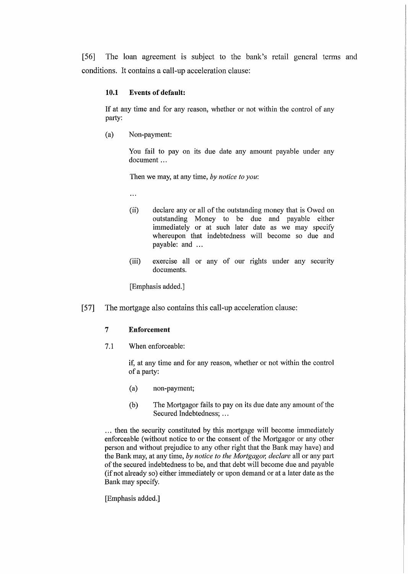[56] The loan agreement is subject to the bank's retail general terms and conditions. It contains a call-up acceleration clause:

### **10.1 Events of default:**

If at any time and for any reason, whether or not within the control of any party:

(a) Non-payment:

You fail to pay on its due date any amount payable under any document ...

Then we may, at any time, *by notice to you:* 

 $\dddotsc$ 

- (ii) declare any or all of the outstanding money that is Owed on outstanding Money to be due and payable either immediately or at such later date as we may specify whereupon that indebtedness will become so due and payable: and ...
- (iii) exercise all or any of our rights under any security documents.

[Emphasis added.]

[57] The mortgage also contains this call-up acceleration clause:

### **7 Enforcement**

7.1 When enforceable:

if, at any time and for any reason, whether or not within the control of a party:

- (a) non-payment;
- (b) The Mortgagor fails to pay on its due date any amount of the Secured Indebtedness; ...

... then the security constituted by this mortgage will become immediately enforceable (without notice to or the consent of the M01tgagor or any other person and without prejudice to any other right that the Bank may have) and the Bank may, at any time, *by notice to the Mortgagor*, *declare* all or any part of the secured indebtedness to be, and that debt will become due and payable (if not already so) either immediately or upon demand or at a later date as the Bank may specify.

[Emphasis added.]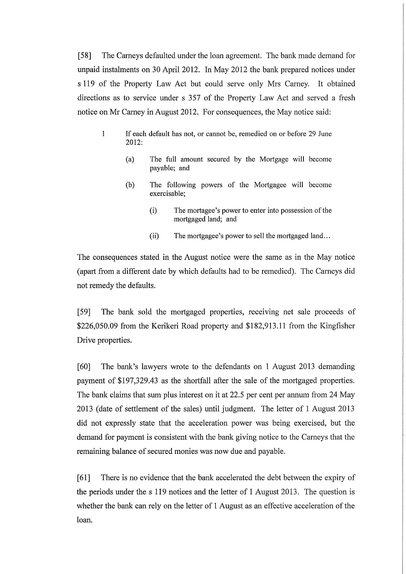[58] The Carneys defaulted under the loan agreement. The bank made demand for unpaid instalments on 30 April 2012. In May 2012 the bank prepared notices under s 119 of the Property Law Act but could serve only Mrs Carney. It obtained directions as to service under s 357 of the Property Law Act and served a fresh notice on Mr Carney in August 2012. For consequences, the May notice said:

- 1 If each default has not, or cannot be, remedied on or before 29 June 2012:
	- (a) The full amount secured by the Mortgage will become payable; and
	- (b) The following powers of the Mortgagee will become exercisable;
		- (i) The mortagee's power to enter into possession of the mortgaged land; and
		- (ii) The mortgagee's power to sell the mortgaged land...

The consequences stated in the August notice were the same as in the May notice (apart from a different date by which defaults had to be remedied). The Carneys did not remedy the defaults.

[59] The bank sold the mortgaged properties, receiving net sale proceeds of \$226,050.09 from the Kerikeri Road property and \$182,913.11 from the Kingfisher Drive properties.

[60] The bank's lawyers wrote to the defendants on 1 August 2013 demanding payment of \$197,329.43 as the shortfall after the sale of the mortgaged properties. The bank claims that sum plus interest on it at 22.5 per cent per annum from 24 May 2013 (date of settlement of the sales) until judgment. The letter of 1 August 2013 did not expressly state that the acceleration power was being exercised, but the demand for payment is consistent with the bank giving notice to the Carneys that the remaining balance of secured monies was now due and payable.

[61] There is no evidence that the bank accelerated the debt between the expiry of the periods under the s 119 notices and the letter of 1 August 2013. The question is whether the bank can rely on the letter of 1 August as an effective acceleration of the loan.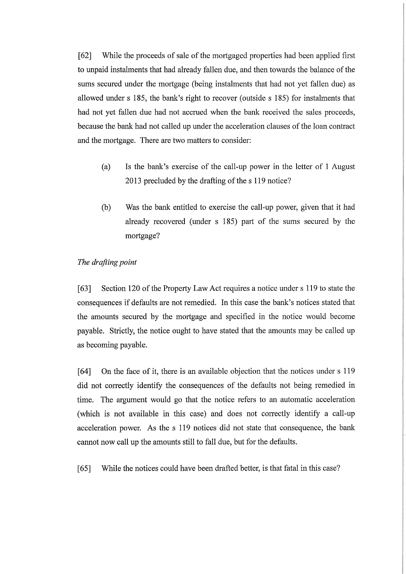[62] While the proceeds of sale of the mortgaged properties had been applied first to unpaid instalments that had already fallen due, and then towards the balance of the sums secured under the mortgage (being instalments that had not yet fallen due) as allowed under s 185, the bank's right to recover (outside s 185) for instalments that had not yet fallen due had not accrued when the bank received the sales proceeds, because the bank had not called up under the acceleration clauses of the loan contract and the mortgage. There are two matters to consider:

- (a) Is the bank's exercise of the call-up power in the letter of 1 August 2013 precluded by the drafting of the s 119 notice?
- (b) Was the bank entitled to exercise the call-up power, given that it had already recovered (under s 185) part of the sums secured by the mortgage?

# *The drafting point*

[63] Section 120 of the Property Law Act requires a notice under s 119 to state the consequences if defaults are not remedied. In this case the bank's notices stated that the amounts secured by the mortgage and specified in the notice would become payable. Strictly, the notice ought to have stated that the amounts may be called up as becoming payable.

[64] On the face of it, there is an available objection that the notices under s 119 did not correctly identify the consequences of the defaults not being remedied in time. The argument would go that the notice refers to an automatic acceleration (which is not available in this case) and does not correctly identify a call-up acceleration power. As the s 119 notices did not state that consequence, the bank cannot now call up the amounts still to fall due, but for the defaults.

[65] While the notices could have been drafted better, is that fatal in this case?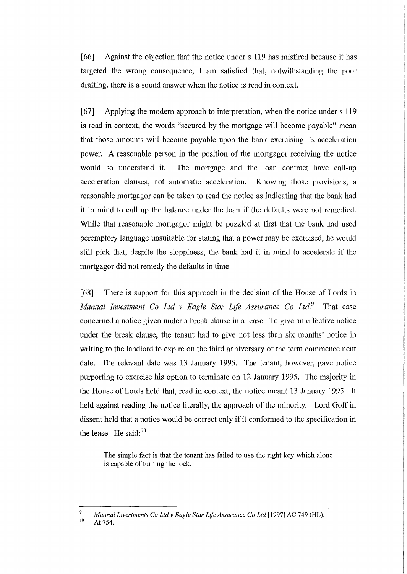[66] Against the objection that the notice under s 119 has misfired because it has targeted the wrong consequence, I am satisfied that, notwithstanding the poor drafting, there is a sound answer when the notice is read in context.

[67] Applying the modern approach to interpretation, when the notice under s 119 is read in context, the words "secured by the mortgage will become payable" mean that those amounts will become payable upon the bank exercising its acceleration power. A reasonable person in the position of the mortgagor receiving the notice would so understand it. The mortgage and the loan contract have call-up acceleration clauses, not automatic acceleration. Knowing those provisions, a reasonable mortgagor can be taken to read the notice as indicating that the bank had it in mind to call up the balance under the loan if the defaults were not remedied. While that reasonable mortgagor might be puzzled at first that the bank had used peremptory language unsuitable for stating that a power may be exercised, he would still pick that, despite the sloppiness, the bank had it in mind to accelerate if the mortgagor did not remedy the defaults in time.

[ 68] There is support for this approach in the decision of the House of Lords in *Mannai Investment Co Ltd v Eagle Star Life Assurance Co Ltd.*<sup>9</sup> That case concerned a notice given under a break clause in a lease. To give an effective notice under the break clause, the tenant had to give not less than six months' notice in writing to the landlord to expire on the third anniversary of the term commencement date. The relevant date was 13 January 1995. The tenant, however, gave notice purporting to exercise his option to terminate on 12 January 1995. The majority in the House of Lords held that, read in context, the notice meant 13 January 1995. It held against reading the notice literally, the approach of the minority. Lord Goff in dissent held that a notice would be correct only if it conformed to the specification in the lease. He said: $10$ 

The simple fact is that the tenant has failed to use the right key which alone is capable of turning the lock.

<sup>9</sup>  *Mannai Investments Co Ltdv Eagle Star Life Assurance Co Ltd* [1997] AC 749 (HL).

<sup>10</sup>  At 754.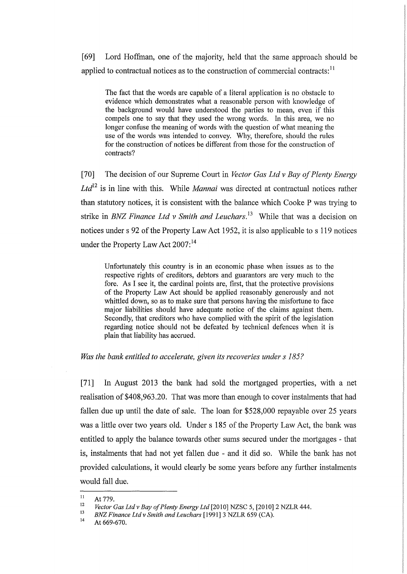[69] Lord Hoffman, one of the majority, held that the same approach should be applied to contractual notices as to the construction of commercial contracts:  $11$ 

The fact that the words are capable of a literal application is no obstacle to evidence which demonstrates what a reasonable person with knowledge of the background would have understood the parties to mean, even if this compels one to say that they used the wrong words. In this area, we no longer confuse the meaning of words with the question of what meaning the use of the words was intended to convey. Why, therefore, should the rules for the construction of notices be different from those for the construction of contracts?

[70] The decision of our Supreme Court in *Vector Gas Ltd v Bay of Plenty Energy Ltd12* is in line with this. While *Mannai* was directed at contractual notices rather than statutory notices, it is consistent with the balance which Cooke P was trying to strike in *BNZ Finance Ltd v Smith and Leuchars*.<sup>13</sup> While that was a decision on notices under s 92 of the Property Law Act 1952, it is also applicable to s 119 notices under the Property Law Act 2007:<sup>14</sup>

Unfortunately this country is in an economic phase when issues as to the respective rights of creditors, debtors and guarantors are very much to the fore. As I see it, the cardinal points are, first, that the protective provisions of the Property Law Act should be applied reasonably generously and not whittled down, so as to make sure that persons having the misfortune to face major liabilities should have adequate notice of the claims against them. Secondly, that creditors who have complied with the spirit of the legislation regarding notice should not be defeated by technical defences when it is plain that liability has accrued.

*Was the bank entitled to accelerate, given its recoveries under s 185?* 

[71] In August 2013 the bank had sold the mortgaged properties, with a net realisation of \$408,963.20. That was more than enough to cover instalments that had fallen due up until the date of sale. The loan for \$528,000 repayable over 25 years was a little over two years old. Under s 185 of the Property Law Act, the bank was entitled to apply the balance towards other sums secured under the mortgages - that is, instalments that had not yet fallen due - and it did so. While the bank has not provided calculations, it would clearly be some years before any further instalments would fall due.

<sup>11</sup>  At 779.

<sup>12</sup>  *Vector Gas Ltd v Bay of Plenty Energy Ltd* [2010] NZSC 5, [2010] 2 NZLR 444.

<sup>13</sup>  *ENZ Finance Ltdv Smith andLeuchars* [1991] 3 NZLR 659 (CA).

<sup>14</sup>  At 669-670.